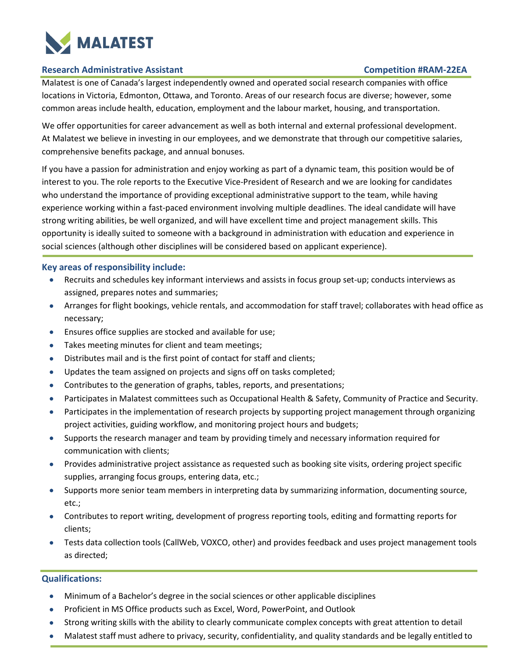

### **Research Administrative Assistant Competition #RAM-22EA**

Malatest is one of Canada's largest independently owned and operated social research companies with office locations in Victoria, Edmonton, Ottawa, and Toronto. Areas of our research focus are diverse; however, some common areas include health, education, employment and the labour market, housing, and transportation.

We offer opportunities for career advancement as well as both internal and external professional development. At Malatest we believe in investing in our employees, and we demonstrate that through our competitive salaries, comprehensive benefits package, and annual bonuses.

If you have a passion for administration and enjoy working as part of a dynamic team, this position would be of interest to you. The role reports to the Executive Vice-President of Research and we are looking for candidates who understand the importance of providing exceptional administrative support to the team, while having experience working within a fast-paced environment involving multiple deadlines. The ideal candidate will have strong writing abilities, be well organized, and will have excellent time and project management skills. This opportunity is ideally suited to someone with a background in administration with education and experience in social sciences (although other disciplines will be considered based on applicant experience).

# **Key areas of responsibility include:**

- Recruits and schedules key informant interviews and assists in focus group set-up; conducts interviews as assigned, prepares notes and summaries;
- Arranges for flight bookings, vehicle rentals, and accommodation for staff travel; collaborates with head office as necessary;
- Ensures office supplies are stocked and available for use;
- Takes meeting minutes for client and team meetings;
- Distributes mail and is the first point of contact for staff and clients;
- Updates the team assigned on projects and signs off on tasks completed;
- Contributes to the generation of graphs, tables, reports, and presentations;
- Participates in Malatest committees such as Occupational Health & Safety, Community of Practice and Security.
- Participates in the implementation of research projects by supporting project management through organizing project activities, guiding workflow, and monitoring project hours and budgets;
- Supports the research manager and team by providing timely and necessary information required for communication with clients;
- Provides administrative project assistance as requested such as booking site visits, ordering project specific supplies, arranging focus groups, entering data, etc.;
- Supports more senior team members in interpreting data by summarizing information, documenting source, etc.;
- Contributes to report writing, development of progress reporting tools, editing and formatting reports for clients;
- Tests data collection tools (CallWeb, VOXCO, other) and provides feedback and uses project management tools as directed;

# **Qualifications:**

- Minimum of a Bachelor's degree in the social sciences or other applicable disciplines
- Proficient in MS Office products such as Excel, Word, PowerPoint, and Outlook
- Strong writing skills with the ability to clearly communicate complex concepts with great attention to detail
- Malatest staff must adhere to privacy, security, confidentiality, and quality standards and be legally entitled to